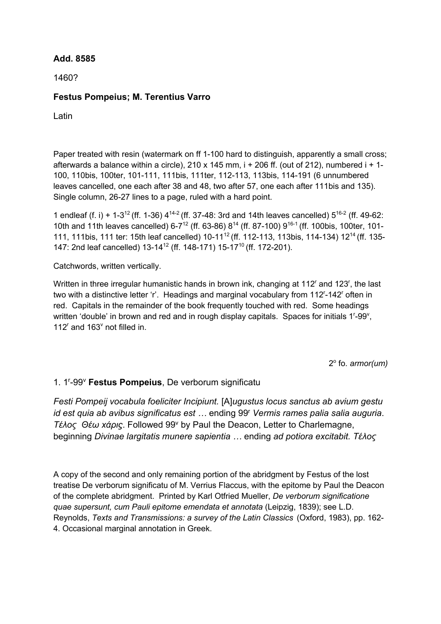## **Add. 8585**

1460?

## **Festus Pompeius; M. Terentius Varro**

**Latin** 

Paper treated with resin (watermark on ff 1-100 hard to distinguish, apparently a small cross; afterwards a balance within a circle), 210 x 145 mm,  $i + 206$  ff. (out of 212), numbered  $i + 1$ -100, 110bis, 100ter, 101-111, 111bis, 111ter, 112-113, 113bis, 114-191 (6 unnumbered leaves cancelled, one each after 38 and 48, two after 57, one each after 111bis and 135). Single column, 26-27 lines to a page, ruled with a hard point.

1 endleaf (f. i) + 1-3<sup>12</sup> (ff. 1-36)  $4^{14-2}$  (ff. 37-48: 3rd and 14th leaves cancelled)  $5^{16-2}$  (ff. 49-62: 10th and 11th leaves cancelled) 6-7<sup>12</sup> (ff. 63-86) 8<sup>14</sup> (ff. 87-100) 9<sup>16-1</sup> (ff. 100bis, 100ter, 101-111, 111bis, 111 ter: 15th leaf cancelled) 10-11<sup>12</sup> (ff. 112-113, 113bis, 114-134) 12<sup>14</sup> (ff. 135-147: 2nd leaf cancelled) 13-14<sup>12</sup> (ff. 148-171) 15-17<sup>10</sup> (ff. 172-201).

Catchwords, written vertically.

Written in three irregular humanistic hands in brown ink, changing at  $112<sup>r</sup>$  and  $123<sup>r</sup>$ , the last two with a distinctive letter 'r'. Headings and marginal vocabulary from 112<sup>r</sup>-142<sup>r</sup> often in red. Capitals in the remainder of the book frequently touched with red. Some headings written 'double' in brown and red and in rough display capitals. Spaces for initials 1<sup>r</sup>-99<sup>v</sup>, 112 $^{\circ}$  and 163 $^{\circ}$  not filled in.

2o fo. *armor(um)*

## 1. 1r -99v **Festus Pompeius**, De verborum significatu

*Festi Pompeij vocabula foeliciter Incipiunt.* [A]*ugustus locus sanctus ab avium gestu id est quia ab avibus significatus est …* ending 99r *Vermis rames palia salia auguria*. *Τέλος Θέω xάριϛ*. Followed 99v by Paul the Deacon, Letter to Charlemagne, beginning *Divinae largitatis munere sapientia …* ending *ad potiora excitabit. Τέλος*

A copy of the second and only remaining portion of the abridgment by Festus of the lost treatise De verborum significatu of M. Verrius Flaccus, with the epitome by Paul the Deacon of the complete abridgment. Printed by Karl Otfried Mueller, *De verborum significatione quae supersunt, cum Pauli epitome emendata et annotata* (Leipzig, 1839); see L.D. Reynolds, *Texts and Transmissions: a survey of the Latin Classics* (Oxford, 1983), pp. 162- 4. Occasional marginal annotation in Greek.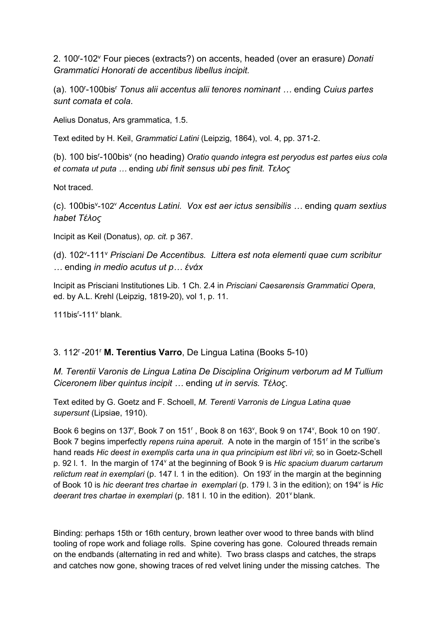2. 100r -102v Four pieces (extracts?) on accents, headed (over an erasure) *Donati Grammatici Honorati de accentibus libellus incipit.*

(a). 100r -100bisr *Tonus alii accentus alii tenores nominant …* ending *Cuius partes sunt comata et cola*.

Aelius Donatus, Ars grammatica, 1.5.

Text edited by H. Keil, *Grammatici Latini* (Leipzig, 1864), vol. 4, pp. 371-2.

(b). 100 bis<sup>r</sup>-100bis<sup>v</sup> (no heading) *Oratio quando integra est peryodus est partes eius cola et comata ut puta …* ending *ubi finit sensus ubi pes finit. Τελος*

Not traced.

(c). 100bisv -102v *Accentus Latini. Vox est aer ictus sensibilis …* ending *quam sextius habet Τέλος* 

Incipit as Keil (Donatus), *op. cit.* p 367.

(d). 102v -111v *Prisciani De Accentibus. Littera est nota elementi quae cum scribitur …* ending *in medio acutus ut p… ένάx*

Incipit as Prisciani Institutiones Lib. 1 Ch. 2.4 in *Prisciani Caesarensis Grammatici Opera*, ed. by A.L. Krehl (Leipzig, 1819-20), vol 1, p. 11.

111bis $r-111$ <sup>v</sup> blank.

## 3. 112r -201r **M. Terentius Varro**, De Lingua Latina (Books 5-10)

*M. Terentii Varonis de Lingua Latina De Disciplina Originum verborum ad M Tullium Ciceronem liber quintus incipit …* ending *ut in servis. Τέλος.*

Text edited by G. Goetz and F. Schoell, *M. Terenti Varronis de Lingua Latina quae supersunt* (Lipsiae, 1910).

Book 6 begins on 137', Book 7 on 151', Book 8 on 163', Book 9 on 174', Book 10 on 190'. Book 7 begins imperfectly *repens ruina aperuit*. A note in the margin of 151<sup>r</sup> in the scribe's hand reads *Hic deest in exemplis carta una in qua principium est libri vii*; so in Goetz-Schell p. 92 l. 1. In the margin of 174<sup>v</sup> at the beginning of Book 9 is *Hic spacium duarum cartarum relictum reat in exemplari* (p. 147 l. 1 in the edition). On 193r in the margin at the beginning of Book 10 is *hic deerant tres chartae in exemplari* (p. 179 l. 3 in the edition); on 194v is *Hic deerant tres chartae in exemplari* (p. 181 l. 10 in the edition). 201<sup>v</sup> blank.

Binding: perhaps 15th or 16th century, brown leather over wood to three bands with blind tooling of rope work and foliage rolls. Spine covering has gone. Coloured threads remain on the endbands (alternating in red and white). Two brass clasps and catches, the straps and catches now gone, showing traces of red velvet lining under the missing catches. The